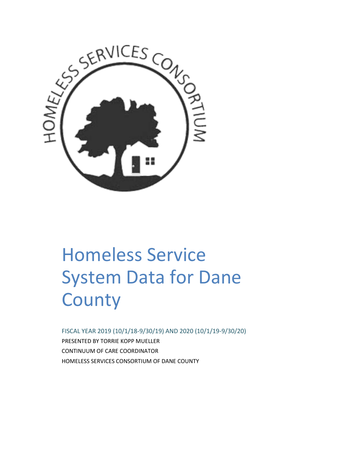

# Homeless Service System Data for Dane **County**

FISCAL YEAR 2019 (10/1/18-9/30/19) AND 2020 (10/1/19-9/30/20) PRESENTED BY TORRIE KOPP MUELLER CONTINUUM OF CARE COORDINATOR HOMELESS SERVICES CONSORTIUM OF DANE COUNTY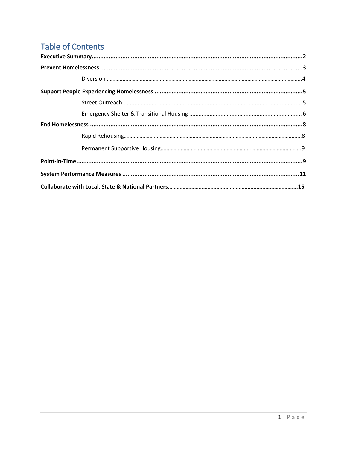# **Table of Contents**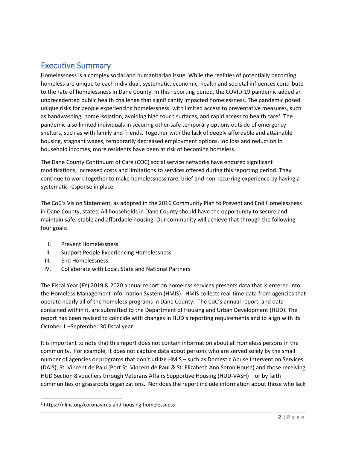# Executive Summary

Homelessness is a complex social and humanitarian issue. While the realities of potentially becoming homeless are unique to each individual, systematic, economic, health and societal influences contribute to the rate of homelessness in Dane County. In this reporting period, the COVID-19 pandemic added an unprecedented public health challenge that significantly impacted homelessness. The pandemic posed unique risks for people experiencing homelessness, with limited access to preventative measures, such as handwashing, home isolation, avoiding high touch surfaces, and rapid access to health care<sup>1</sup>. The pandemic also limited individuals in securing other safe temporary options outside of emergency shelters, such as with family and friends. Together with the lack of deeply affordable and attainable housing, stagnant wages, temporarily decreased employment options, job loss and reduction in household incomes, more residents have been at risk of becoming homeless.

The Dane County Continuum of Care (COC) social service networks have endured significant modifications, increased costs and limitations to services offered during this reporting period. They continue to work together to make homelessness rare, brief and non-recurring experience by having a systematic response in place.

The CoC's Vision Statement, as adopted in the 2016 Community Plan to Prevent and End Homelessness in Dane County, states: All households in Dane County should have the opportunity to secure and maintain safe, stable and affordable housing. Our community will achieve that through the following four goals:

- I. Prevent Homelessness
- II. Support People Experiencing Homelessness
- III. End Homelessness

 $\overline{\phantom{a}}$ 

IV. Collaborate with Local, State and National Partners

The Fiscal Year (FY) 2019 & 2020 annual report on homeless services presents data that is entered into the Homeless Management Information System (HMIS). HMIS collects real-time data from agencies that operate nearly all of the homeless programs in Dane County. The CoC's annual report, and data contained within it, are submitted to the Department of Housing and Urban Development (HUD). The report has been revised to coincide with changes in HUD's reporting requirements and to align with its October 1 –September 30 fiscal year.

It is important to note that this report does not contain information about all homeless persons in the community. For example, it does not capture data about persons who are served solely by the small number of agencies or programs that don't utilize HMIS – such as Domestic Abuse Intervention Services (DAIS), St. Vincent de Paul (Port St. Vincent de Paul & St. Elizabeth Ann Seton House) and those receiving HUD Section 8 vouchers through Veterans Affairs Supportive Housing (HUD-VASH) – or by faith communities or grassroots organizations. Nor does the report include information about those who lack

<sup>1</sup> https://nlihc.org/coronavirus-and-housing-homelessness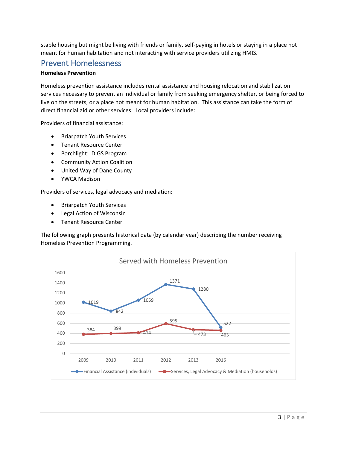stable housing but might be living with friends or family, self-paying in hotels or staying in a place not meant for human habitation and not interacting with service providers utilizing HMIS.

# Prevent Homelessness

## **Homeless Prevention**

Homeless prevention assistance includes rental assistance and housing relocation and stabilization services necessary to prevent an individual or family from seeking emergency shelter, or being forced to live on the streets, or a place not meant for human habitation. This assistance can take the form of direct financial aid or other services. Local providers include:

Providers of financial assistance:

- Briarpatch Youth Services
- Tenant Resource Center
- Porchlight: DIGS Program
- Community Action Coalition
- United Way of Dane County
- YWCA Madison

Providers of services, legal advocacy and mediation:

- Briarpatch Youth Services
- Legal Action of Wisconsin
- Tenant Resource Center

The following graph presents historical data (by calendar year) describing the number receiving Homeless Prevention Programming.

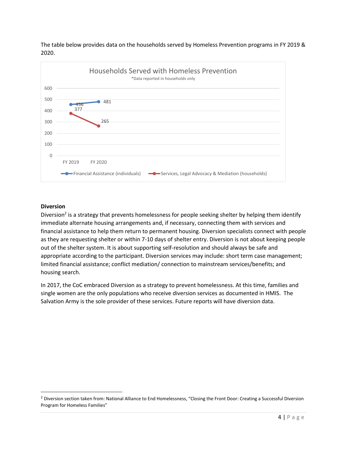The table below provides data on the households served by Homeless Prevention programs in FY 2019 & 2020.



## **Diversion**

 $\overline{\phantom{a}}$ 

Diversion<sup>2</sup> is a strategy that prevents homelessness for people seeking shelter by helping them identify immediate alternate housing arrangements and, if necessary, connecting them with services and financial assistance to help them return to permanent housing. Diversion specialists connect with people as they are requesting shelter or within 7-10 days of shelter entry. Diversion is not about keeping people out of the shelter system. It is about supporting self-resolution and should always be safe and appropriate according to the participant. Diversion services may include: short term case management; limited financial assistance; conflict mediation/ connection to mainstream services/benefits; and housing search.

In 2017, the CoC embraced Diversion as a strategy to prevent homelessness. At this time, families and single women are the only populations who receive diversion services as documented in HMIS. The Salvation Army is the sole provider of these services. Future reports will have diversion data.

<sup>&</sup>lt;sup>2</sup> Diversion section taken from: National Alliance to End Homelessness, "Closing the Front Door: Creating a Successful Diversion Program for Homeless Families"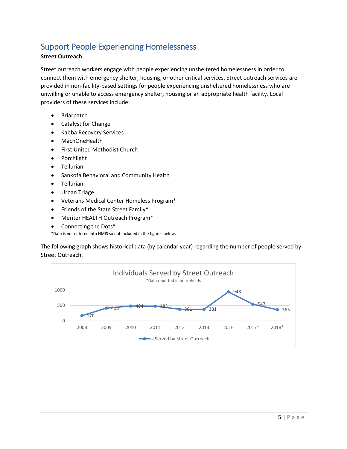# Support People Experiencing Homelessness

## **Street Outreach**

Street outreach workers engage with people experiencing unsheltered homelessness in order to connect them with emergency shelter, housing, or other critical services. Street outreach services are provided in non-facility-based settings for people experiencing unsheltered homelessness who are unwilling or unable to access emergency shelter, housing or an appropriate health facility. Local providers of these services include:

- Briarpatch
- Catalyst for Change
- Kabba Recovery Services
- MachOneHealth
- First United Methodist Church
- Porchlight
- Tellurian
- Sankofa Behavioral and Community Health
- Tellurian
- Urban Triage
- Veterans Medical Center Homeless Program\*
- Friends of the State Street Family\*
- Meriter HEALTH Outreach Program\*
- Connecting the Dots\*

\*Data is not entered into HMIS so not included in the figures below.

The following graph shows historical data (by calendar year) regarding the number of people served by Street Outreach.

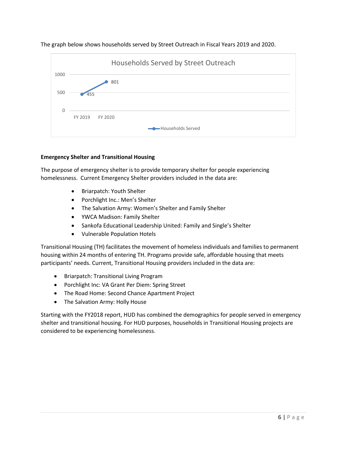



## **Emergency Shelter and Transitional Housing**

The purpose of emergency shelter is to provide temporary shelter for people experiencing homelessness. Current Emergency Shelter providers included in the data are:

- Briarpatch: Youth Shelter
- Porchlight Inc.: Men's Shelter
- The Salvation Army: Women's Shelter and Family Shelter
- YWCA Madison: Family Shelter
- Sankofa Educational Leadership United: Family and Single's Shelter
- Vulnerable Population Hotels

Transitional Housing (TH) facilitates the movement of homeless individuals and families to permanent housing within 24 months of entering TH. Programs provide safe, affordable housing that meets participants' needs. Current, Transitional Housing providers included in the data are:

- Briarpatch: Transitional Living Program
- Porchlight Inc: VA Grant Per Diem: Spring Street
- The Road Home: Second Chance Apartment Project
- The Salvation Army: Holly House

Starting with the FY2018 report, HUD has combined the demographics for people served in emergency shelter and transitional housing. For HUD purposes, households in Transitional Housing projects are considered to be experiencing homelessness.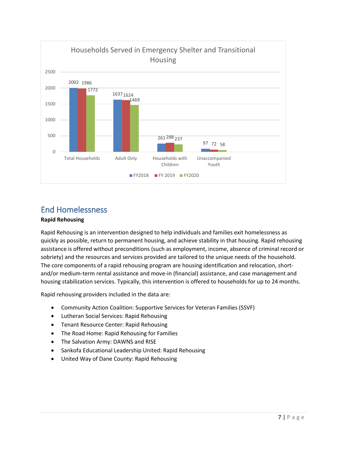

# End Homelessness

## **Rapid Rehousing**

Rapid Rehousing is an intervention designed to help individuals and families exit homelessness as quickly as possible, return to permanent housing, and achieve stability in that housing. Rapid rehousing assistance is offered without preconditions (such as employment, income, absence of criminal record or sobriety) and the resources and services provided are tailored to the unique needs of the household. The core components of a rapid rehousing program are housing identification and relocation, shortand/or medium-term rental assistance and move-in (financial) assistance, and case management and housing stabilization services. Typically, this intervention is offered to households for up to 24 months.

Rapid rehousing providers included in the data are:

- Community Action Coalition: Supportive Services for Veteran Families (SSVF)
- Lutheran Social Services: Rapid Rehousing
- **•** Tenant Resource Center: Rapid Rehousing
- The Road Home: Rapid Rehousing for Families
- The Salvation Army: DAWNS and RISE
- Sankofa Educational Leadership United: Rapid Rehousing
- United Way of Dane County: Rapid Rehousing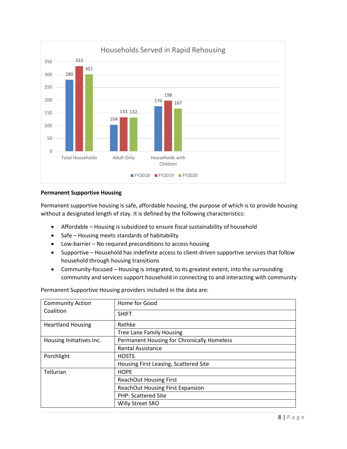

#### **Permanent Supportive Housing**

Permanent supportive housing is safe, affordable housing, the purpose of which is to provide housing without a designated length of stay. It is defined by the following characteristics:

- Affordable Housing is subsidized to ensure fiscal sustainability of household
- Safe Housing meets standards of habitability
- Low-barrier No required preconditions to access housing
- Supportive Household has indefinite access to client-driven supportive services that follow household through housing transitions
- Community-focused Housing is integrated, to its greatest extent, into the surrounding community and services support household in connecting to and interacting with community

Permanent Supportive Housing providers included in the data are:

| <b>Community Action</b><br>Coalition | Home for Good                              |
|--------------------------------------|--------------------------------------------|
|                                      | <b>SHIFT</b>                               |
| <b>Heartland Housing</b>             | Rethke                                     |
|                                      | <b>Tree Lane Family Housing</b>            |
| Housing Initiatives Inc.             | Permanent Housing for Chronically Homeless |
|                                      | <b>Rental Assistance</b>                   |
| Porchlight                           | <b>HOSTS</b>                               |
|                                      | Housing First Leasing, Scattered Site      |
| Tellurian                            | <b>HOPE</b>                                |
|                                      | ReachOut Housing First                     |
|                                      | <b>ReachOut Housing First Expansion</b>    |
|                                      | <b>PHP: Scattered Site</b>                 |
|                                      | <b>Willy Street SRO</b>                    |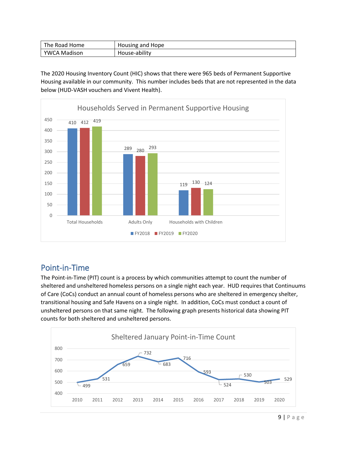| The Road Home | Housing and Hope |
|---------------|------------------|
| YWCA Madison  | House-ability    |

The 2020 Housing Inventory Count (HIC) shows that there were 965 beds of Permanent Supportive Housing available in our community. This number includes beds that are not represented in the data below (HUD-VASH vouchers and Vivent Health).



# Point-in-Time

The Point-in-Time (PIT) count is a process by which communities attempt to count the number of sheltered and unsheltered homeless persons on a single night each year. HUD requires that Continuums of Care (CoCs) conduct an annual count of homeless persons who are sheltered in emergency shelter, transitional housing and Safe Havens on a single night. In addition, CoCs must conduct a count of unsheltered persons on that same night. The following graph presents historical data showing PIT counts for both sheltered and unsheltered persons.

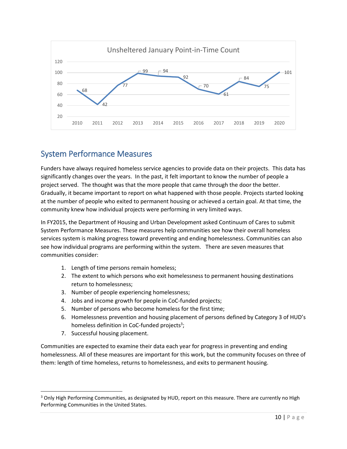

# System Performance Measures

Funders have always required homeless service agencies to provide data on their projects. This data has significantly changes over the years. In the past, it felt important to know the number of people a project served. The thought was that the more people that came through the door the better. Gradually, it became important to report on what happened with those people. Projects started looking at the number of people who exited to permanent housing or achieved a certain goal. At that time, the community knew how individual projects were performing in very limited ways.

In FY2015, the Department of Housing and Urban Development asked Continuum of Cares to submit System Performance Measures. These measures help communities see how their overall homeless services system is making progress toward preventing and ending homelessness. Communities can also see how individual programs are performing within the system. There are seven measures that communities consider:

- 1. Length of time persons remain homeless;
- 2. The extent to which persons who exit homelessness to permanent housing destinations return to homelessness;
- 3. Number of people experiencing homelessness;
- 4. Jobs and income growth for people in CoC-funded projects;
- 5. Number of persons who become homeless for the first time;
- 6. Homelessness prevention and housing placement of persons defined by Category 3 of HUD's homeless definition in CoC-funded projects<sup>3</sup>;
- 7. Successful housing placement.

 $\overline{\phantom{a}}$ 

Communities are expected to examine their data each year for progress in preventing and ending homelessness. All of these measures are important for this work, but the community focuses on three of them: length of time homeless, returns to homelessness, and exits to permanent housing.

<sup>&</sup>lt;sup>3</sup> Only High Performing Communities, as designated by HUD, report on this measure. There are currently no High Performing Communities in the United States.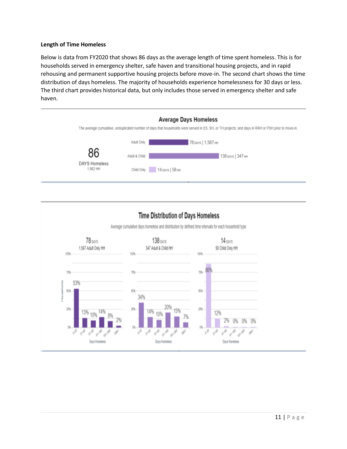## **Length of Time Homeless**

Below is data from FY2020 that shows 86 days as the average length of time spent homeless. This is for households served in emergency shelter, safe haven and transitional housing projects, and in rapid rehousing and permanent supportive housing projects before move-in. The second chart shows the time distribution of days homeless. The majority of households experience homelessness for 30 days or less. The third chart provides historical data, but only includes those served in emergency shelter and safe haven.



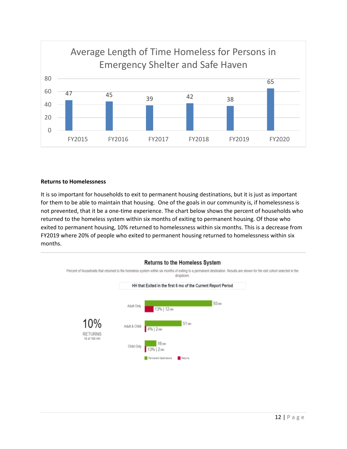

#### **Returns to Homelessness**

It is so important for households to exit to permanent housing destinations, but it is just as important for them to be able to maintain that housing. One of the goals in our community is, if homelessness is not prevented, that it be a one-time experience. The chart below shows the percent of households who returned to the homeless system within six months of exiting to permanent housing. Of those who exited to permanent housing, 10% returned to homelessness within six months. This is a decrease from FY2019 where 20% of people who exited to permanent housing returned to homelessness within six months.

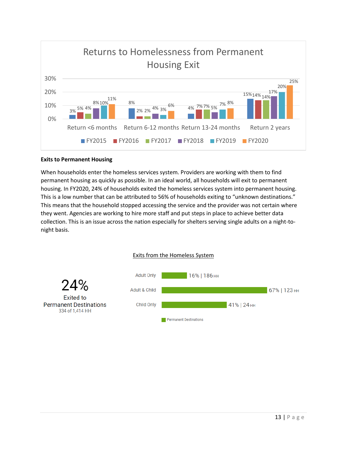

## **Exits to Permanent Housing**

When households enter the homeless services system. Providers are working with them to find permanent housing as quickly as possible. In an ideal world, all households will exit to permanent housing. In FY2020, 24% of households exited the homeless services system into permanent housing. This is a low number that can be attributed to 56% of households exiting to "unknown destinations." This means that the household stopped accessing the service and the provider was not certain where they went. Agencies are working to hire more staff and put steps in place to achieve better data collection. This is an issue across the nation especially for shelters serving single adults on a night-tonight basis.

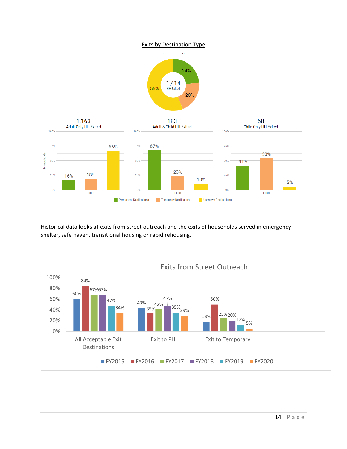## Exits by Destination Type





Historical data looks at exits from street outreach and the exits of households served in emergency shelter, safe haven, transitional housing or rapid rehousing.